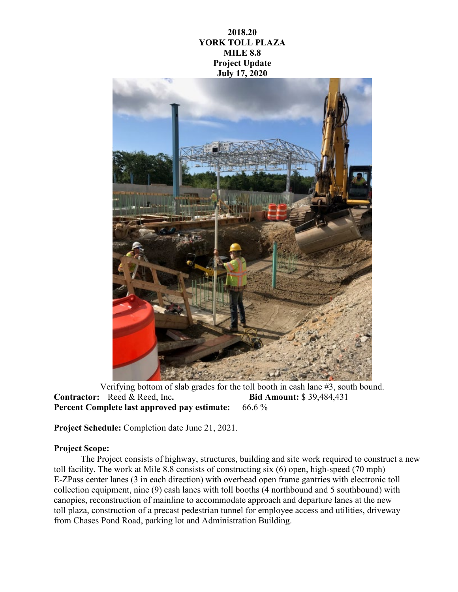## **2018.20 YORK TOLL PLAZA MILE 8.8 Project Update July 17, 2020**



Verifying bottom of slab grades for the toll booth in cash lane #3, south bound. **Contractor:** Reed & Reed, Inc**. Bid Amount:** \$ 39,484,431 **Percent Complete last approved pay estimate:** 66.6 %

**Project Schedule:** Completion date June 21, 2021.

## **Project Scope:**

The Project consists of highway, structures, building and site work required to construct a new toll facility. The work at Mile 8.8 consists of constructing six (6) open, high-speed (70 mph) E-ZPass center lanes (3 in each direction) with overhead open frame gantries with electronic toll collection equipment, nine (9) cash lanes with toll booths (4 northbound and 5 southbound) with canopies, reconstruction of mainline to accommodate approach and departure lanes at the new toll plaza, construction of a precast pedestrian tunnel for employee access and utilities, driveway from Chases Pond Road, parking lot and Administration Building.